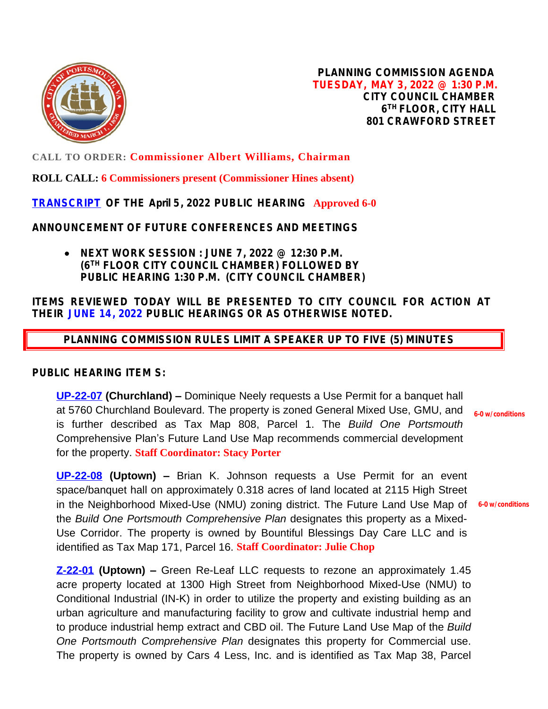

**PLANNING COMMISSION AGENDA TUESDAY, MAY 3, 2022 @ 1:30 P.M. CITY COUNCIL CHAMBER 6 TH FLOOR, CITY HALL 801 CRAWFORD STREET**

**CALL TO ORDER: Commissioner Albert Williams, Chairman**

**ROLL CALL: 6 Commissioners present (Commissioner Hines absent)**

**[TRANSCRIPT](https://www.portsmouthva.gov/DocumentCenter/View/12331/Planning-Commission-Transcript04052022) OF THE April 5, 2022 PUBLIC HEARING Approved 6-0**

**ANNOUNCEMENT OF FUTURE CONFERENCES AND MEETINGS**

 **NEXT WORK SESSION : JUNE 7, 2022 @ 12:30 P.M. (6TH FLOOR CITY COUNCIL CHAMBER) FOLLOWED BY PUBLIC HEARING 1:30 P.M. (CITY COUNCIL CHAMBER)**

## **ITEMS REVIEWED TODAY WILL BE PRESENTED TO CITY COUNCIL FOR ACTION AT THEIR JUNE 14, 2022 PUBLIC HEARINGS OR AS OTHERWISE NOTED.**

 **PLANNING COMMISSION RULES LIMIT A SPEAKER UP TO FIVE (5) MINUTES**

## **PUBLIC HEARING ITEM S:**

**[UP-22-07](https://www.portsmouthva.gov/DocumentCenter/View/12328/UP-22-07-Staff-Report-package-for-printing) (Churchland) –** Dominique Neely requests a Use Permit for a banquet hall at 5760 Churchland Boulevard. The property is zoned General Mixed Use, GMU, and is further described as Tax Map 808, Parcel 1. The *Build One Portsmouth* Comprehensive Plan's Future Land Use Map recommends commercial development for the property. **Staff Coordinator: Stacy Porter 6-0 w/conditions**

**[UP-22-08](https://www.portsmouthva.gov/DocumentCenter/View/12330/UP-22-08-Staff-Report-Packet-for-printing) (Uptown) –** Brian K. Johnson requests a Use Permit for an event space/banquet hall on approximately 0.318 acres of land located at 2115 High Street in the Neighborhood Mixed-Use (NMU) zoning district. The Future Land Use Map of **6-0 w/conditions**the *Build One Portsmouth Comprehensive Plan* designates this property as a Mixed-Use Corridor. The property is owned by Bountiful Blessings Day Care LLC and is identified as Tax Map 171, Parcel 16. **Staff Coordinator: Julie Chop**

**[Z-22-01](https://www.portsmouthva.gov/DocumentCenter/View/12329/Z-22-01-Staff-Report-Packet-for-printing) (Uptown) –** Green Re-Leaf LLC requests to rezone an approximately 1.45 acre property located at 1300 High Street from Neighborhood Mixed-Use (NMU) to Conditional Industrial (IN-K) in order to utilize the property and existing building as an urban agriculture and manufacturing facility to grow and cultivate industrial hemp and to produce industrial hemp extract and CBD oil. The Future Land Use Map of the *Build One Portsmouth Comprehensive Plan* designates this property for Commercial use. The property is owned by Cars 4 Less, Inc. and is identified as Tax Map 38, Parcel